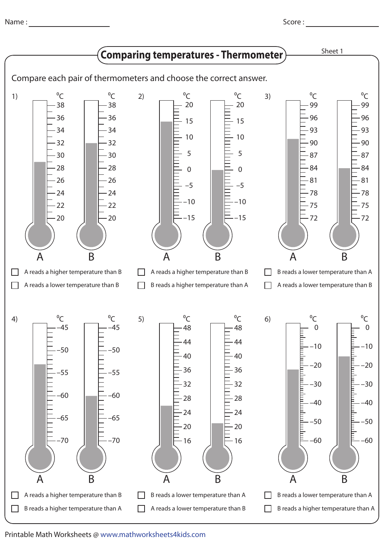Name :

Score : \_